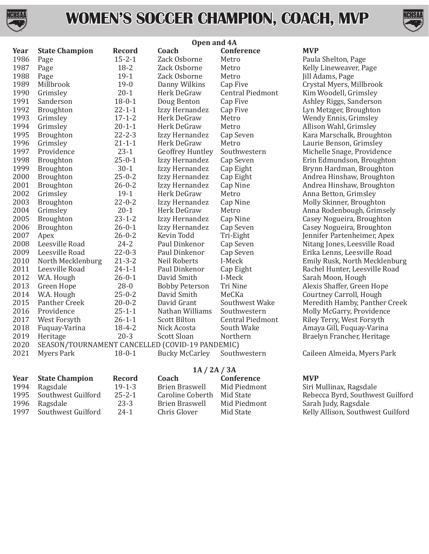

### **WOMEN'S SOCCER CHAMPION, COACH, MVP**



|      |                       | Open and 4A                                     |                         |                         |             |  |  |
|------|-----------------------|-------------------------------------------------|-------------------------|-------------------------|-------------|--|--|
| Year | <b>State Champion</b> | <b>Record</b>                                   | Coach                   | Conference              | <b>MVP</b>  |  |  |
| 1986 | Page                  | $15 - 2 - 1$                                    | Zack Osborne            | Metro                   | Paula       |  |  |
| 1987 | Page                  | $18 - 2$                                        | Zack Osborne            | Metro                   | Kelly       |  |  |
| 1988 | Page                  | $19-1$                                          | Zack Osborne            | Metro                   | Jill A      |  |  |
| 1989 | Millbrook             | $19-0$                                          | Danny Wilkins           | Cap Five                | Cryst       |  |  |
| 1990 | Grimsley              | $20 - 1$                                        | Herk DeGraw             | <b>Central Piedmont</b> | Kim         |  |  |
| 1991 | Sanderson             | $18 - 0 - 1$                                    | Doug Benton             | Cap Five                | Ashle       |  |  |
| 1992 | <b>Broughton</b>      | $22 - 1 - 1$                                    | Izzy Hernandez          | Cap Five                | Lyn l       |  |  |
| 1993 | Grimsley              | $17 - 1 - 2$                                    | Herk DeGraw             | Metro                   | Wen         |  |  |
| 1994 | Grimsley              | $20 - 1 - 1$                                    | Herk DeGraw             | Metro                   | Alliso      |  |  |
| 1995 | Broughton             | $22 - 2 - 3$                                    | Izzy Hernandez          | Cap Seven               | Kara        |  |  |
| 1996 | Grimsley              | $21 - 1 - 1$                                    | Herk DeGraw             | Metro                   | Laur        |  |  |
| 1997 | Providence            | $23 - 1$                                        | <b>Geoffrey Huntley</b> | Southwestern            | Mich        |  |  |
| 1998 | Broughton             | $25 - 0 - 1$                                    | Izzy Hernandez          | Cap Seven               | Erin        |  |  |
| 1999 | Broughton             | $30 - 1$                                        | Izzy Hernandez          | Cap Eight               | <b>Bryn</b> |  |  |
| 2000 | Broughton             | $25 - 0 - 2$                                    | Izzy Hernandez          | Cap Eight               | Andr        |  |  |
| 2001 | Broughton             | $26 - 0 - 2$                                    | Izzy Hernandez          | Cap Nine                | Andr        |  |  |
| 2002 | Grimsley              | $19-1$                                          | Herk DeGraw             | Metro                   | Anna        |  |  |
| 2003 | <b>Broughton</b>      | $22 - 0 - 2$                                    | Izzy Hernandez          | Cap Nine                | Molly       |  |  |
| 2004 | Grimsley              | $20 - 1$                                        | Herk DeGraw             | Metro                   | Anna        |  |  |
| 2005 | Broughton             | $23 - 1 - 2$                                    | Izzy Hernandez          | Cap Nine                | Case        |  |  |
| 2006 | Broughton             | $26 - 0 - 1$                                    | Izzy Hernandez          | Cap Seven               | Case        |  |  |
| 2007 | Apex                  | $26 - 0 - 2$                                    | Kevin Todd              | Tri-Eight               | Jenni       |  |  |
| 2008 | Leesville Road        | $24 - 2$                                        | Paul Dinkenor           | Cap Seven               | Nitar       |  |  |
| 2009 | Leesville Road        | $22 - 0 - 3$                                    | Paul Dinkenor           | Cap Seven               | Erika       |  |  |
| 2010 | North Mecklenburg     | $21 - 3 - 2$                                    | Neil Roberts            | I-Meck                  | Emil        |  |  |
| 2011 | Leesville Road        | $24 - 1 - 1$                                    | Paul Dinkenor           | Cap Eight               | Rach        |  |  |
| 2012 | W.A. Hough            | $26 - 0 - 1$                                    | David Smith             | I-Meck                  | Saral       |  |  |
| 2013 | Green Hope            | $28 - 0$                                        | <b>Bobby Peterson</b>   | Tri Nine                | Alexi       |  |  |
| 2014 | W.A. Hough            | $25 - 0 - 2$                                    | David Smith             | MeCKa                   | Cour        |  |  |
| 2015 | Panther Creek         | $20 - 0 - 2$                                    | David Grant             | Southwest Wake          | Mere        |  |  |
| 2016 | Providence            | $25 - 1 - 1$                                    | Nathan Williams         | Southwestern            | Molly       |  |  |
| 2017 | West Forsyth          | $26 - 1 - 1$                                    | <b>Scott Bilton</b>     | <b>Central Piedmont</b> | Riley       |  |  |
| 2018 | Fuquay-Varina         | $18 - 4 - 2$                                    | Nick Acosta             | South Wake              | Amay        |  |  |
| 2019 | Heritage              | $20-3$                                          | Scott Sloan             | Northern                | <b>Brae</b> |  |  |
| 2020 |                       | SEASON/TOURNAMENT CANCELLED (COVID-19 PANDEMIC) |                         |                         |             |  |  |
| 2021 | <b>Myers Park</b>     | $18 - 0 - 1$                                    | Bucky McCarley          | Southwestern            | Caile       |  |  |
|      | 1A / 2A / 3A          |                                                 |                         |                         |             |  |  |
| Year | <b>State Champion</b> | Record                                          | Coach                   | Conference              | <b>MVP</b>  |  |  |

Paula Shelton, Page Kelly Lineweaver, Page Jill Adams, Page Crystal Myers, Millbrook Kim Woodell, Grimsley Ashley Riggs, Sanderson Lyn Metzger, Broughton Wendy Ennis, Grimsley Allison Wahl, Grimsley Kara Marschalk, Broughton Laurie Benson, Grimsley Michelle Snage, Providence Erin Edmundson, Broughton Brynn Hardman, Broughton Andrea Hinshaw, Broughton Andrea Hinshaw, Broughton Anna Betton, Grimsley Molly Skinner, Broughton Anna Rodenbough, Grimsely Casey Nogueira, Broughton Casey Nogueira, Broughton Jennifer Partenheimer, Apex Nitang Jones, Leesville Road Erika Lenns, Leesville Road Emily Rusk, North Mecklenburg Rachel Hunter, Leesville Road Sarah Moon, Hough Alexis Shaffer, Green Hope Courtney Carroll, Hough Meredith Hamby, Panther Creek Molly McGarry, Providence Riley Terry, West Forsyth Amaya Gill, Fuquay-Varina Braelyn Francher, Heritage

Caileen Almeida, Myers Park

| <b>Year</b> State Champion | <b>Record</b> | Coach            | Conference   | <b>MVP</b> |
|----------------------------|---------------|------------------|--------------|------------|
| 1994 Ragsdale              | $19 - 1 - 3$  | Brien Braswell   | Mid Piedmont | Siri N     |
| 1995 Southwest Guilford    | $25 - 2 - 1$  | Caroline Coberth | Mid State    | Rebe       |
| 1996 Ragsdale              | 23-3          | Brien Braswell   | Mid Piedmont | Saral      |
| 1997 Southwest Guilford    | $24-1$        | Chris Glover     | Mid State    | Kelly      |

Siri Mullinax, Ragsdale Rebecca Byrd, Southwest Guilford Sarah Judy, Ragsdale

Kelly Allison, Southwest Guilford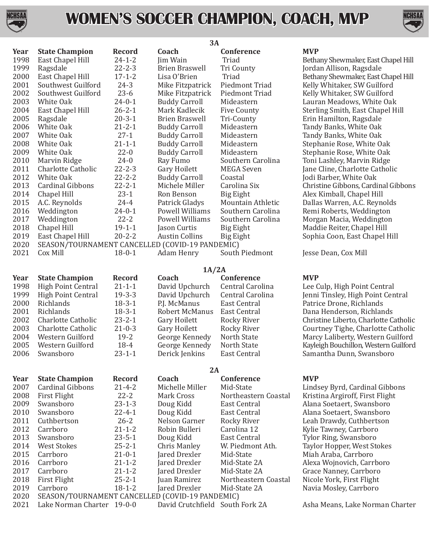

## **WOMEN'S SOCCER CHAMPION, COACH, MVP**



| <b>MVP</b><br>Coach<br><b>State Champion</b><br><b>Record</b><br><b>Conference</b><br>1998<br>East Chapel Hill<br>$24 - 1 - 2$<br>Jim Wain<br>Triad<br>Bethany Shewmaker, East<br>1999<br>Ragsdale<br>$22 - 2 - 3$<br><b>Tri County</b><br><b>Brien Braswell</b><br>Jordan Allison, Ragsdal<br>2000<br>East Chapel Hill<br>$17 - 1 - 2$<br>Lisa O'Brien<br>Triad<br>Bethany Shewmaker, East<br>2001<br>$24 - 3$<br>Southwest Guilford<br>Mike Fitzpatrick<br>Piedmont Triad<br>Kelly Whitaker, SW Guil<br>2002<br>$23-6$<br>Southwest Guilford<br>Mike Fitzpatrick<br>Kelly Whitaker, SW Guil<br>Piedmont Triad<br>2003<br>$24 - 0 - 1$<br>White Oak<br><b>Buddy Carroll</b><br>Lauran Meadows, White<br>Mideastern<br>2004<br>East Chapel Hill<br>$26 - 2 - 1$<br>Mark Kadlecik<br><b>Five County</b><br>Sterling Smith, East Cha<br>2005<br>$20 - 3 - 1$<br>Ragsdale<br><b>Brien Braswell</b><br>Tri-County<br>Erin Hamilton, Ragsdal<br>2006<br>White Oak<br>$21 - 2 - 1$<br><b>Buddy Carroll</b><br>Mideastern<br>Tandy Banks, White Oal<br>2007<br>$27-1$<br>White Oak<br><b>Buddy Carroll</b><br>Mideastern<br>Tandy Banks, White Oal<br>2008<br>$21 - 1 - 1$<br>White Oak<br><b>Buddy Carroll</b><br>Mideastern<br>Stephanie Rose, White (<br>2009<br>$22 - 0$<br>White Oak<br><b>Buddy Carroll</b><br>Mideastern<br>Stephanie Rose, White (<br>2010<br>$24 - 0$<br>Marvin Ridge<br>Southern Carolina<br>Toni Lashley, Marvin Ri<br>Ray Fumo<br>2011<br>$22 - 2 - 3$<br>Gary Hoilett<br>Jane Cline, Charlotte Ca<br>Charlotte Catholic<br>MEGA Seven<br>2012<br>$22 - 2 - 2$<br>White Oak<br><b>Buddy Carroll</b><br>Coastal<br>Jodi Barber, White Oak<br>2013<br>$22 - 2 - 1$<br>Cardinal Gibbons<br>Michele Miller<br>Carolina Six<br>Christine Gibbons, Cardi<br>2014<br>$23-1$<br>Chapel Hill<br>Ron Benson<br>Big Eight<br>Alex Kimball, Chapel Hi<br>2015<br>$24 - 4$<br>Patrick Gladys<br>Mountain Athletic<br>Dallas Warren, A.C. Rey!<br>A.C. Reynolds<br>2016<br>$24 - 0 - 1$<br>Weddington<br>Powell Williams<br>Southern Carolina<br>Remi Roberts, Wedding<br>2017<br>$22 - 2$<br>Weddington<br>Powell Williams<br>Southern Carolina<br>Morgan Macia, Wedding<br>2018<br>$19 - 1 - 1$<br>Chapel Hill<br>Maddie Reiter, Chapel H<br>Jason Curtis<br>Big Eight<br>2019<br>$20 - 2 - 2$<br>East Chapel Hill<br><b>Austin Collins</b><br>Sophia Coon, East Chap<br>Big Eight<br>2020<br>SEASON/TOURNAMENT CANCELLED (COVID-19 PANDEMIC)<br>2021<br>Cox Mill<br>$18 - 0 - 1$<br>South Piedmont<br>Jesse Dean, Cox Mill<br>Adam Henry<br>1A/2A<br><b>MVP</b><br><b>State Champion</b><br><b>Record</b><br>Coach<br>Conference<br><b>High Point Central</b><br>$21 - 1 - 1$<br>David Upchurch<br>Central Carolina<br>Lee Culp, High Point Ce<br>1999<br>$19 - 3 - 3$<br><b>High Point Central</b><br>David Upchurch<br>Central Carolina<br>Jenni Tinsley, High Poin<br>2000<br>$18 - 3 - 1$<br>Richlands<br>P.J. McManus<br>Patrice Drone, Richland<br>East Central<br>2001<br>$18 - 3 - 1$<br>Richlands<br><b>Robert McManus</b><br>East Central<br>Dana Henderson, Richla<br>2002<br>Charlotte Catholic<br>$23 - 2 - 1$<br>Rocky River<br>Christine Liberto, Charlo<br>Gary Hoilett<br>2003<br><b>Charlotte Catholic</b><br>$21 - 0 - 3$<br>Gary Hoilett<br>Rocky River<br>Courtney Tighe, Charlot<br>2004<br>Western Guilford<br>$19 - 2$<br>George Kennedy<br>North State<br>Marcy Laliberty, Wester<br>2005<br>Western Guilford<br>18-4<br>George Kennedy<br>North State<br>Kayleigh Bouchillon, West<br>$23 - 1 - 1$<br>2006<br>Swansboro<br>Derick Jenkins<br>East Central<br>Samantha Dunn, Swans<br>2A<br><b>MVP</b><br><b>State Champion</b><br><b>Record</b><br>Coach<br>Conference<br>2007<br><b>Cardinal Gibbons</b><br>Michelle Miller<br>Mid-State<br>Lindsey Byrd, Cardinal<br>$21 - 4 - 2$<br>2008<br>$22 - 2$<br><b>First Flight</b><br>Mark Cross<br>Northeastern Coastal<br>Kristina Argiroff, First F<br>2009<br>Swansboro<br>$23 - 1 - 3$<br>Doug Kidd<br>East Central<br>Alana Soetaert, Swansb<br>2010<br>Swansboro<br>$22 - 4 - 1$<br>Doug Kidd<br><b>East Central</b><br>Alana Soetaert, Swansb<br>2011<br>$26 - 2$<br>Cuthbertson<br>Nelson Garner<br>Rocky River<br>Leah Drawdy, Cuthberts<br>2012<br>$21 - 1 - 2$<br>Carrboro<br>Robin Bulleri<br>Carolina 12<br>Kylie Tawney, Carrboro<br>2013<br>$23 - 5 - 1$<br>Swansboro<br>Doug Kidd<br>East Central<br>Tylor Ring, Swansboro<br>2014<br><b>West Stokes</b><br>$25 - 2 - 1$<br><b>Chris Manley</b><br>W. Piedmont Ath.<br>Taylor Hopper, West Sto<br>2015<br>Carrboro<br>$21 - 0 - 1$<br>Jared Drexler<br>Mid-State<br>Miah Araba, Carrboro<br>2016<br>Carrboro<br>$21 - 1 - 2$<br>Jared Drexler<br>Mid-State 2A<br>Alexa Wojnovich, Carrb<br>2017<br>$21 - 1 - 2$<br>Carrboro<br>Jared Drexler<br>Mid-State 2A<br>Grace Nanney, Carrbord<br>2018<br><b>First Flight</b><br>$25 - 2 - 1$<br>Juan Ramirez<br>Northeastern Coastal<br>Nicole York, First Flight<br>2019<br>Carrboro<br>$18 - 1 - 2$<br>Jared Drexler<br>Mid-State 2A<br>Navia Mosley, Carrboro<br>2020<br>SEASON/TOURNAMENT CANCELLED (COVID-19 PANDEMIC) |      | 3A |  |  |  |  |  |
|-----------------------------------------------------------------------------------------------------------------------------------------------------------------------------------------------------------------------------------------------------------------------------------------------------------------------------------------------------------------------------------------------------------------------------------------------------------------------------------------------------------------------------------------------------------------------------------------------------------------------------------------------------------------------------------------------------------------------------------------------------------------------------------------------------------------------------------------------------------------------------------------------------------------------------------------------------------------------------------------------------------------------------------------------------------------------------------------------------------------------------------------------------------------------------------------------------------------------------------------------------------------------------------------------------------------------------------------------------------------------------------------------------------------------------------------------------------------------------------------------------------------------------------------------------------------------------------------------------------------------------------------------------------------------------------------------------------------------------------------------------------------------------------------------------------------------------------------------------------------------------------------------------------------------------------------------------------------------------------------------------------------------------------------------------------------------------------------------------------------------------------------------------------------------------------------------------------------------------------------------------------------------------------------------------------------------------------------------------------------------------------------------------------------------------------------------------------------------------------------------------------------------------------------------------------------------------------------------------------------------------------------------------------------------------------------------------------------------------------------------------------------------------------------------------------------------------------------------------------------------------------------------------------------------------------------------------------------------------------------------------------------------------------------------------------------------------------------------------------------------------------------------------------------------------------------------------------------------------------------------------------------------------------------------------------------------------------------------------------------------------------------------------------------------------------------------------------------------------------------------------------------------------------------------------------------------------------------------------------------------------------------------------------------------------------------------------------------------------------------------------------------------------------------------------------------------------------------------------------------------------------------------------------------------------------------------------------------------------------------------------------------------------------------------------------------------------------------------------------------------------------------------------------------------------------------------------------------------------------------------------------------------------------------------------------------------------------------------------------------------------------------------------------------------------------------------------------------------------------------------------------------------------------------------------------------------------------------------------------------------------------------------------------------------------------------------------------------------------------------------------------------------------------------------------------------------------------------------------------------------------------------------------------------------------------------------------------------------------------------------------------------------------------------------------------------------------------------------------------------------|------|----|--|--|--|--|--|
|                                                                                                                                                                                                                                                                                                                                                                                                                                                                                                                                                                                                                                                                                                                                                                                                                                                                                                                                                                                                                                                                                                                                                                                                                                                                                                                                                                                                                                                                                                                                                                                                                                                                                                                                                                                                                                                                                                                                                                                                                                                                                                                                                                                                                                                                                                                                                                                                                                                                                                                                                                                                                                                                                                                                                                                                                                                                                                                                                                                                                                                                                                                                                                                                                                                                                                                                                                                                                                                                                                                                                                                                                                                                                                                                                                                                                                                                                                                                                                                                                                                                                                                                                                                                                                                                                                                                                                                                                                                                                                                                                                                                                                                                                                                                                                                                                                                                                                                                                                                                                                                                                                                       | Year |    |  |  |  |  |  |
|                                                                                                                                                                                                                                                                                                                                                                                                                                                                                                                                                                                                                                                                                                                                                                                                                                                                                                                                                                                                                                                                                                                                                                                                                                                                                                                                                                                                                                                                                                                                                                                                                                                                                                                                                                                                                                                                                                                                                                                                                                                                                                                                                                                                                                                                                                                                                                                                                                                                                                                                                                                                                                                                                                                                                                                                                                                                                                                                                                                                                                                                                                                                                                                                                                                                                                                                                                                                                                                                                                                                                                                                                                                                                                                                                                                                                                                                                                                                                                                                                                                                                                                                                                                                                                                                                                                                                                                                                                                                                                                                                                                                                                                                                                                                                                                                                                                                                                                                                                                                                                                                                                                       |      |    |  |  |  |  |  |
|                                                                                                                                                                                                                                                                                                                                                                                                                                                                                                                                                                                                                                                                                                                                                                                                                                                                                                                                                                                                                                                                                                                                                                                                                                                                                                                                                                                                                                                                                                                                                                                                                                                                                                                                                                                                                                                                                                                                                                                                                                                                                                                                                                                                                                                                                                                                                                                                                                                                                                                                                                                                                                                                                                                                                                                                                                                                                                                                                                                                                                                                                                                                                                                                                                                                                                                                                                                                                                                                                                                                                                                                                                                                                                                                                                                                                                                                                                                                                                                                                                                                                                                                                                                                                                                                                                                                                                                                                                                                                                                                                                                                                                                                                                                                                                                                                                                                                                                                                                                                                                                                                                                       |      |    |  |  |  |  |  |
|                                                                                                                                                                                                                                                                                                                                                                                                                                                                                                                                                                                                                                                                                                                                                                                                                                                                                                                                                                                                                                                                                                                                                                                                                                                                                                                                                                                                                                                                                                                                                                                                                                                                                                                                                                                                                                                                                                                                                                                                                                                                                                                                                                                                                                                                                                                                                                                                                                                                                                                                                                                                                                                                                                                                                                                                                                                                                                                                                                                                                                                                                                                                                                                                                                                                                                                                                                                                                                                                                                                                                                                                                                                                                                                                                                                                                                                                                                                                                                                                                                                                                                                                                                                                                                                                                                                                                                                                                                                                                                                                                                                                                                                                                                                                                                                                                                                                                                                                                                                                                                                                                                                       |      |    |  |  |  |  |  |
|                                                                                                                                                                                                                                                                                                                                                                                                                                                                                                                                                                                                                                                                                                                                                                                                                                                                                                                                                                                                                                                                                                                                                                                                                                                                                                                                                                                                                                                                                                                                                                                                                                                                                                                                                                                                                                                                                                                                                                                                                                                                                                                                                                                                                                                                                                                                                                                                                                                                                                                                                                                                                                                                                                                                                                                                                                                                                                                                                                                                                                                                                                                                                                                                                                                                                                                                                                                                                                                                                                                                                                                                                                                                                                                                                                                                                                                                                                                                                                                                                                                                                                                                                                                                                                                                                                                                                                                                                                                                                                                                                                                                                                                                                                                                                                                                                                                                                                                                                                                                                                                                                                                       |      |    |  |  |  |  |  |
|                                                                                                                                                                                                                                                                                                                                                                                                                                                                                                                                                                                                                                                                                                                                                                                                                                                                                                                                                                                                                                                                                                                                                                                                                                                                                                                                                                                                                                                                                                                                                                                                                                                                                                                                                                                                                                                                                                                                                                                                                                                                                                                                                                                                                                                                                                                                                                                                                                                                                                                                                                                                                                                                                                                                                                                                                                                                                                                                                                                                                                                                                                                                                                                                                                                                                                                                                                                                                                                                                                                                                                                                                                                                                                                                                                                                                                                                                                                                                                                                                                                                                                                                                                                                                                                                                                                                                                                                                                                                                                                                                                                                                                                                                                                                                                                                                                                                                                                                                                                                                                                                                                                       |      |    |  |  |  |  |  |
|                                                                                                                                                                                                                                                                                                                                                                                                                                                                                                                                                                                                                                                                                                                                                                                                                                                                                                                                                                                                                                                                                                                                                                                                                                                                                                                                                                                                                                                                                                                                                                                                                                                                                                                                                                                                                                                                                                                                                                                                                                                                                                                                                                                                                                                                                                                                                                                                                                                                                                                                                                                                                                                                                                                                                                                                                                                                                                                                                                                                                                                                                                                                                                                                                                                                                                                                                                                                                                                                                                                                                                                                                                                                                                                                                                                                                                                                                                                                                                                                                                                                                                                                                                                                                                                                                                                                                                                                                                                                                                                                                                                                                                                                                                                                                                                                                                                                                                                                                                                                                                                                                                                       |      |    |  |  |  |  |  |
|                                                                                                                                                                                                                                                                                                                                                                                                                                                                                                                                                                                                                                                                                                                                                                                                                                                                                                                                                                                                                                                                                                                                                                                                                                                                                                                                                                                                                                                                                                                                                                                                                                                                                                                                                                                                                                                                                                                                                                                                                                                                                                                                                                                                                                                                                                                                                                                                                                                                                                                                                                                                                                                                                                                                                                                                                                                                                                                                                                                                                                                                                                                                                                                                                                                                                                                                                                                                                                                                                                                                                                                                                                                                                                                                                                                                                                                                                                                                                                                                                                                                                                                                                                                                                                                                                                                                                                                                                                                                                                                                                                                                                                                                                                                                                                                                                                                                                                                                                                                                                                                                                                                       |      |    |  |  |  |  |  |
|                                                                                                                                                                                                                                                                                                                                                                                                                                                                                                                                                                                                                                                                                                                                                                                                                                                                                                                                                                                                                                                                                                                                                                                                                                                                                                                                                                                                                                                                                                                                                                                                                                                                                                                                                                                                                                                                                                                                                                                                                                                                                                                                                                                                                                                                                                                                                                                                                                                                                                                                                                                                                                                                                                                                                                                                                                                                                                                                                                                                                                                                                                                                                                                                                                                                                                                                                                                                                                                                                                                                                                                                                                                                                                                                                                                                                                                                                                                                                                                                                                                                                                                                                                                                                                                                                                                                                                                                                                                                                                                                                                                                                                                                                                                                                                                                                                                                                                                                                                                                                                                                                                                       |      |    |  |  |  |  |  |
|                                                                                                                                                                                                                                                                                                                                                                                                                                                                                                                                                                                                                                                                                                                                                                                                                                                                                                                                                                                                                                                                                                                                                                                                                                                                                                                                                                                                                                                                                                                                                                                                                                                                                                                                                                                                                                                                                                                                                                                                                                                                                                                                                                                                                                                                                                                                                                                                                                                                                                                                                                                                                                                                                                                                                                                                                                                                                                                                                                                                                                                                                                                                                                                                                                                                                                                                                                                                                                                                                                                                                                                                                                                                                                                                                                                                                                                                                                                                                                                                                                                                                                                                                                                                                                                                                                                                                                                                                                                                                                                                                                                                                                                                                                                                                                                                                                                                                                                                                                                                                                                                                                                       |      |    |  |  |  |  |  |
|                                                                                                                                                                                                                                                                                                                                                                                                                                                                                                                                                                                                                                                                                                                                                                                                                                                                                                                                                                                                                                                                                                                                                                                                                                                                                                                                                                                                                                                                                                                                                                                                                                                                                                                                                                                                                                                                                                                                                                                                                                                                                                                                                                                                                                                                                                                                                                                                                                                                                                                                                                                                                                                                                                                                                                                                                                                                                                                                                                                                                                                                                                                                                                                                                                                                                                                                                                                                                                                                                                                                                                                                                                                                                                                                                                                                                                                                                                                                                                                                                                                                                                                                                                                                                                                                                                                                                                                                                                                                                                                                                                                                                                                                                                                                                                                                                                                                                                                                                                                                                                                                                                                       |      |    |  |  |  |  |  |
|                                                                                                                                                                                                                                                                                                                                                                                                                                                                                                                                                                                                                                                                                                                                                                                                                                                                                                                                                                                                                                                                                                                                                                                                                                                                                                                                                                                                                                                                                                                                                                                                                                                                                                                                                                                                                                                                                                                                                                                                                                                                                                                                                                                                                                                                                                                                                                                                                                                                                                                                                                                                                                                                                                                                                                                                                                                                                                                                                                                                                                                                                                                                                                                                                                                                                                                                                                                                                                                                                                                                                                                                                                                                                                                                                                                                                                                                                                                                                                                                                                                                                                                                                                                                                                                                                                                                                                                                                                                                                                                                                                                                                                                                                                                                                                                                                                                                                                                                                                                                                                                                                                                       |      |    |  |  |  |  |  |
|                                                                                                                                                                                                                                                                                                                                                                                                                                                                                                                                                                                                                                                                                                                                                                                                                                                                                                                                                                                                                                                                                                                                                                                                                                                                                                                                                                                                                                                                                                                                                                                                                                                                                                                                                                                                                                                                                                                                                                                                                                                                                                                                                                                                                                                                                                                                                                                                                                                                                                                                                                                                                                                                                                                                                                                                                                                                                                                                                                                                                                                                                                                                                                                                                                                                                                                                                                                                                                                                                                                                                                                                                                                                                                                                                                                                                                                                                                                                                                                                                                                                                                                                                                                                                                                                                                                                                                                                                                                                                                                                                                                                                                                                                                                                                                                                                                                                                                                                                                                                                                                                                                                       |      |    |  |  |  |  |  |
|                                                                                                                                                                                                                                                                                                                                                                                                                                                                                                                                                                                                                                                                                                                                                                                                                                                                                                                                                                                                                                                                                                                                                                                                                                                                                                                                                                                                                                                                                                                                                                                                                                                                                                                                                                                                                                                                                                                                                                                                                                                                                                                                                                                                                                                                                                                                                                                                                                                                                                                                                                                                                                                                                                                                                                                                                                                                                                                                                                                                                                                                                                                                                                                                                                                                                                                                                                                                                                                                                                                                                                                                                                                                                                                                                                                                                                                                                                                                                                                                                                                                                                                                                                                                                                                                                                                                                                                                                                                                                                                                                                                                                                                                                                                                                                                                                                                                                                                                                                                                                                                                                                                       |      |    |  |  |  |  |  |
|                                                                                                                                                                                                                                                                                                                                                                                                                                                                                                                                                                                                                                                                                                                                                                                                                                                                                                                                                                                                                                                                                                                                                                                                                                                                                                                                                                                                                                                                                                                                                                                                                                                                                                                                                                                                                                                                                                                                                                                                                                                                                                                                                                                                                                                                                                                                                                                                                                                                                                                                                                                                                                                                                                                                                                                                                                                                                                                                                                                                                                                                                                                                                                                                                                                                                                                                                                                                                                                                                                                                                                                                                                                                                                                                                                                                                                                                                                                                                                                                                                                                                                                                                                                                                                                                                                                                                                                                                                                                                                                                                                                                                                                                                                                                                                                                                                                                                                                                                                                                                                                                                                                       |      |    |  |  |  |  |  |
|                                                                                                                                                                                                                                                                                                                                                                                                                                                                                                                                                                                                                                                                                                                                                                                                                                                                                                                                                                                                                                                                                                                                                                                                                                                                                                                                                                                                                                                                                                                                                                                                                                                                                                                                                                                                                                                                                                                                                                                                                                                                                                                                                                                                                                                                                                                                                                                                                                                                                                                                                                                                                                                                                                                                                                                                                                                                                                                                                                                                                                                                                                                                                                                                                                                                                                                                                                                                                                                                                                                                                                                                                                                                                                                                                                                                                                                                                                                                                                                                                                                                                                                                                                                                                                                                                                                                                                                                                                                                                                                                                                                                                                                                                                                                                                                                                                                                                                                                                                                                                                                                                                                       |      |    |  |  |  |  |  |
|                                                                                                                                                                                                                                                                                                                                                                                                                                                                                                                                                                                                                                                                                                                                                                                                                                                                                                                                                                                                                                                                                                                                                                                                                                                                                                                                                                                                                                                                                                                                                                                                                                                                                                                                                                                                                                                                                                                                                                                                                                                                                                                                                                                                                                                                                                                                                                                                                                                                                                                                                                                                                                                                                                                                                                                                                                                                                                                                                                                                                                                                                                                                                                                                                                                                                                                                                                                                                                                                                                                                                                                                                                                                                                                                                                                                                                                                                                                                                                                                                                                                                                                                                                                                                                                                                                                                                                                                                                                                                                                                                                                                                                                                                                                                                                                                                                                                                                                                                                                                                                                                                                                       |      |    |  |  |  |  |  |
|                                                                                                                                                                                                                                                                                                                                                                                                                                                                                                                                                                                                                                                                                                                                                                                                                                                                                                                                                                                                                                                                                                                                                                                                                                                                                                                                                                                                                                                                                                                                                                                                                                                                                                                                                                                                                                                                                                                                                                                                                                                                                                                                                                                                                                                                                                                                                                                                                                                                                                                                                                                                                                                                                                                                                                                                                                                                                                                                                                                                                                                                                                                                                                                                                                                                                                                                                                                                                                                                                                                                                                                                                                                                                                                                                                                                                                                                                                                                                                                                                                                                                                                                                                                                                                                                                                                                                                                                                                                                                                                                                                                                                                                                                                                                                                                                                                                                                                                                                                                                                                                                                                                       |      |    |  |  |  |  |  |
|                                                                                                                                                                                                                                                                                                                                                                                                                                                                                                                                                                                                                                                                                                                                                                                                                                                                                                                                                                                                                                                                                                                                                                                                                                                                                                                                                                                                                                                                                                                                                                                                                                                                                                                                                                                                                                                                                                                                                                                                                                                                                                                                                                                                                                                                                                                                                                                                                                                                                                                                                                                                                                                                                                                                                                                                                                                                                                                                                                                                                                                                                                                                                                                                                                                                                                                                                                                                                                                                                                                                                                                                                                                                                                                                                                                                                                                                                                                                                                                                                                                                                                                                                                                                                                                                                                                                                                                                                                                                                                                                                                                                                                                                                                                                                                                                                                                                                                                                                                                                                                                                                                                       |      |    |  |  |  |  |  |
|                                                                                                                                                                                                                                                                                                                                                                                                                                                                                                                                                                                                                                                                                                                                                                                                                                                                                                                                                                                                                                                                                                                                                                                                                                                                                                                                                                                                                                                                                                                                                                                                                                                                                                                                                                                                                                                                                                                                                                                                                                                                                                                                                                                                                                                                                                                                                                                                                                                                                                                                                                                                                                                                                                                                                                                                                                                                                                                                                                                                                                                                                                                                                                                                                                                                                                                                                                                                                                                                                                                                                                                                                                                                                                                                                                                                                                                                                                                                                                                                                                                                                                                                                                                                                                                                                                                                                                                                                                                                                                                                                                                                                                                                                                                                                                                                                                                                                                                                                                                                                                                                                                                       |      |    |  |  |  |  |  |
|                                                                                                                                                                                                                                                                                                                                                                                                                                                                                                                                                                                                                                                                                                                                                                                                                                                                                                                                                                                                                                                                                                                                                                                                                                                                                                                                                                                                                                                                                                                                                                                                                                                                                                                                                                                                                                                                                                                                                                                                                                                                                                                                                                                                                                                                                                                                                                                                                                                                                                                                                                                                                                                                                                                                                                                                                                                                                                                                                                                                                                                                                                                                                                                                                                                                                                                                                                                                                                                                                                                                                                                                                                                                                                                                                                                                                                                                                                                                                                                                                                                                                                                                                                                                                                                                                                                                                                                                                                                                                                                                                                                                                                                                                                                                                                                                                                                                                                                                                                                                                                                                                                                       |      |    |  |  |  |  |  |
|                                                                                                                                                                                                                                                                                                                                                                                                                                                                                                                                                                                                                                                                                                                                                                                                                                                                                                                                                                                                                                                                                                                                                                                                                                                                                                                                                                                                                                                                                                                                                                                                                                                                                                                                                                                                                                                                                                                                                                                                                                                                                                                                                                                                                                                                                                                                                                                                                                                                                                                                                                                                                                                                                                                                                                                                                                                                                                                                                                                                                                                                                                                                                                                                                                                                                                                                                                                                                                                                                                                                                                                                                                                                                                                                                                                                                                                                                                                                                                                                                                                                                                                                                                                                                                                                                                                                                                                                                                                                                                                                                                                                                                                                                                                                                                                                                                                                                                                                                                                                                                                                                                                       |      |    |  |  |  |  |  |
|                                                                                                                                                                                                                                                                                                                                                                                                                                                                                                                                                                                                                                                                                                                                                                                                                                                                                                                                                                                                                                                                                                                                                                                                                                                                                                                                                                                                                                                                                                                                                                                                                                                                                                                                                                                                                                                                                                                                                                                                                                                                                                                                                                                                                                                                                                                                                                                                                                                                                                                                                                                                                                                                                                                                                                                                                                                                                                                                                                                                                                                                                                                                                                                                                                                                                                                                                                                                                                                                                                                                                                                                                                                                                                                                                                                                                                                                                                                                                                                                                                                                                                                                                                                                                                                                                                                                                                                                                                                                                                                                                                                                                                                                                                                                                                                                                                                                                                                                                                                                                                                                                                                       |      |    |  |  |  |  |  |
|                                                                                                                                                                                                                                                                                                                                                                                                                                                                                                                                                                                                                                                                                                                                                                                                                                                                                                                                                                                                                                                                                                                                                                                                                                                                                                                                                                                                                                                                                                                                                                                                                                                                                                                                                                                                                                                                                                                                                                                                                                                                                                                                                                                                                                                                                                                                                                                                                                                                                                                                                                                                                                                                                                                                                                                                                                                                                                                                                                                                                                                                                                                                                                                                                                                                                                                                                                                                                                                                                                                                                                                                                                                                                                                                                                                                                                                                                                                                                                                                                                                                                                                                                                                                                                                                                                                                                                                                                                                                                                                                                                                                                                                                                                                                                                                                                                                                                                                                                                                                                                                                                                                       |      |    |  |  |  |  |  |
|                                                                                                                                                                                                                                                                                                                                                                                                                                                                                                                                                                                                                                                                                                                                                                                                                                                                                                                                                                                                                                                                                                                                                                                                                                                                                                                                                                                                                                                                                                                                                                                                                                                                                                                                                                                                                                                                                                                                                                                                                                                                                                                                                                                                                                                                                                                                                                                                                                                                                                                                                                                                                                                                                                                                                                                                                                                                                                                                                                                                                                                                                                                                                                                                                                                                                                                                                                                                                                                                                                                                                                                                                                                                                                                                                                                                                                                                                                                                                                                                                                                                                                                                                                                                                                                                                                                                                                                                                                                                                                                                                                                                                                                                                                                                                                                                                                                                                                                                                                                                                                                                                                                       |      |    |  |  |  |  |  |
|                                                                                                                                                                                                                                                                                                                                                                                                                                                                                                                                                                                                                                                                                                                                                                                                                                                                                                                                                                                                                                                                                                                                                                                                                                                                                                                                                                                                                                                                                                                                                                                                                                                                                                                                                                                                                                                                                                                                                                                                                                                                                                                                                                                                                                                                                                                                                                                                                                                                                                                                                                                                                                                                                                                                                                                                                                                                                                                                                                                                                                                                                                                                                                                                                                                                                                                                                                                                                                                                                                                                                                                                                                                                                                                                                                                                                                                                                                                                                                                                                                                                                                                                                                                                                                                                                                                                                                                                                                                                                                                                                                                                                                                                                                                                                                                                                                                                                                                                                                                                                                                                                                                       |      |    |  |  |  |  |  |
|                                                                                                                                                                                                                                                                                                                                                                                                                                                                                                                                                                                                                                                                                                                                                                                                                                                                                                                                                                                                                                                                                                                                                                                                                                                                                                                                                                                                                                                                                                                                                                                                                                                                                                                                                                                                                                                                                                                                                                                                                                                                                                                                                                                                                                                                                                                                                                                                                                                                                                                                                                                                                                                                                                                                                                                                                                                                                                                                                                                                                                                                                                                                                                                                                                                                                                                                                                                                                                                                                                                                                                                                                                                                                                                                                                                                                                                                                                                                                                                                                                                                                                                                                                                                                                                                                                                                                                                                                                                                                                                                                                                                                                                                                                                                                                                                                                                                                                                                                                                                                                                                                                                       | Year |    |  |  |  |  |  |
|                                                                                                                                                                                                                                                                                                                                                                                                                                                                                                                                                                                                                                                                                                                                                                                                                                                                                                                                                                                                                                                                                                                                                                                                                                                                                                                                                                                                                                                                                                                                                                                                                                                                                                                                                                                                                                                                                                                                                                                                                                                                                                                                                                                                                                                                                                                                                                                                                                                                                                                                                                                                                                                                                                                                                                                                                                                                                                                                                                                                                                                                                                                                                                                                                                                                                                                                                                                                                                                                                                                                                                                                                                                                                                                                                                                                                                                                                                                                                                                                                                                                                                                                                                                                                                                                                                                                                                                                                                                                                                                                                                                                                                                                                                                                                                                                                                                                                                                                                                                                                                                                                                                       | 1998 |    |  |  |  |  |  |
|                                                                                                                                                                                                                                                                                                                                                                                                                                                                                                                                                                                                                                                                                                                                                                                                                                                                                                                                                                                                                                                                                                                                                                                                                                                                                                                                                                                                                                                                                                                                                                                                                                                                                                                                                                                                                                                                                                                                                                                                                                                                                                                                                                                                                                                                                                                                                                                                                                                                                                                                                                                                                                                                                                                                                                                                                                                                                                                                                                                                                                                                                                                                                                                                                                                                                                                                                                                                                                                                                                                                                                                                                                                                                                                                                                                                                                                                                                                                                                                                                                                                                                                                                                                                                                                                                                                                                                                                                                                                                                                                                                                                                                                                                                                                                                                                                                                                                                                                                                                                                                                                                                                       |      |    |  |  |  |  |  |
|                                                                                                                                                                                                                                                                                                                                                                                                                                                                                                                                                                                                                                                                                                                                                                                                                                                                                                                                                                                                                                                                                                                                                                                                                                                                                                                                                                                                                                                                                                                                                                                                                                                                                                                                                                                                                                                                                                                                                                                                                                                                                                                                                                                                                                                                                                                                                                                                                                                                                                                                                                                                                                                                                                                                                                                                                                                                                                                                                                                                                                                                                                                                                                                                                                                                                                                                                                                                                                                                                                                                                                                                                                                                                                                                                                                                                                                                                                                                                                                                                                                                                                                                                                                                                                                                                                                                                                                                                                                                                                                                                                                                                                                                                                                                                                                                                                                                                                                                                                                                                                                                                                                       |      |    |  |  |  |  |  |
|                                                                                                                                                                                                                                                                                                                                                                                                                                                                                                                                                                                                                                                                                                                                                                                                                                                                                                                                                                                                                                                                                                                                                                                                                                                                                                                                                                                                                                                                                                                                                                                                                                                                                                                                                                                                                                                                                                                                                                                                                                                                                                                                                                                                                                                                                                                                                                                                                                                                                                                                                                                                                                                                                                                                                                                                                                                                                                                                                                                                                                                                                                                                                                                                                                                                                                                                                                                                                                                                                                                                                                                                                                                                                                                                                                                                                                                                                                                                                                                                                                                                                                                                                                                                                                                                                                                                                                                                                                                                                                                                                                                                                                                                                                                                                                                                                                                                                                                                                                                                                                                                                                                       |      |    |  |  |  |  |  |
|                                                                                                                                                                                                                                                                                                                                                                                                                                                                                                                                                                                                                                                                                                                                                                                                                                                                                                                                                                                                                                                                                                                                                                                                                                                                                                                                                                                                                                                                                                                                                                                                                                                                                                                                                                                                                                                                                                                                                                                                                                                                                                                                                                                                                                                                                                                                                                                                                                                                                                                                                                                                                                                                                                                                                                                                                                                                                                                                                                                                                                                                                                                                                                                                                                                                                                                                                                                                                                                                                                                                                                                                                                                                                                                                                                                                                                                                                                                                                                                                                                                                                                                                                                                                                                                                                                                                                                                                                                                                                                                                                                                                                                                                                                                                                                                                                                                                                                                                                                                                                                                                                                                       |      |    |  |  |  |  |  |
|                                                                                                                                                                                                                                                                                                                                                                                                                                                                                                                                                                                                                                                                                                                                                                                                                                                                                                                                                                                                                                                                                                                                                                                                                                                                                                                                                                                                                                                                                                                                                                                                                                                                                                                                                                                                                                                                                                                                                                                                                                                                                                                                                                                                                                                                                                                                                                                                                                                                                                                                                                                                                                                                                                                                                                                                                                                                                                                                                                                                                                                                                                                                                                                                                                                                                                                                                                                                                                                                                                                                                                                                                                                                                                                                                                                                                                                                                                                                                                                                                                                                                                                                                                                                                                                                                                                                                                                                                                                                                                                                                                                                                                                                                                                                                                                                                                                                                                                                                                                                                                                                                                                       |      |    |  |  |  |  |  |
|                                                                                                                                                                                                                                                                                                                                                                                                                                                                                                                                                                                                                                                                                                                                                                                                                                                                                                                                                                                                                                                                                                                                                                                                                                                                                                                                                                                                                                                                                                                                                                                                                                                                                                                                                                                                                                                                                                                                                                                                                                                                                                                                                                                                                                                                                                                                                                                                                                                                                                                                                                                                                                                                                                                                                                                                                                                                                                                                                                                                                                                                                                                                                                                                                                                                                                                                                                                                                                                                                                                                                                                                                                                                                                                                                                                                                                                                                                                                                                                                                                                                                                                                                                                                                                                                                                                                                                                                                                                                                                                                                                                                                                                                                                                                                                                                                                                                                                                                                                                                                                                                                                                       |      |    |  |  |  |  |  |
|                                                                                                                                                                                                                                                                                                                                                                                                                                                                                                                                                                                                                                                                                                                                                                                                                                                                                                                                                                                                                                                                                                                                                                                                                                                                                                                                                                                                                                                                                                                                                                                                                                                                                                                                                                                                                                                                                                                                                                                                                                                                                                                                                                                                                                                                                                                                                                                                                                                                                                                                                                                                                                                                                                                                                                                                                                                                                                                                                                                                                                                                                                                                                                                                                                                                                                                                                                                                                                                                                                                                                                                                                                                                                                                                                                                                                                                                                                                                                                                                                                                                                                                                                                                                                                                                                                                                                                                                                                                                                                                                                                                                                                                                                                                                                                                                                                                                                                                                                                                                                                                                                                                       |      |    |  |  |  |  |  |
|                                                                                                                                                                                                                                                                                                                                                                                                                                                                                                                                                                                                                                                                                                                                                                                                                                                                                                                                                                                                                                                                                                                                                                                                                                                                                                                                                                                                                                                                                                                                                                                                                                                                                                                                                                                                                                                                                                                                                                                                                                                                                                                                                                                                                                                                                                                                                                                                                                                                                                                                                                                                                                                                                                                                                                                                                                                                                                                                                                                                                                                                                                                                                                                                                                                                                                                                                                                                                                                                                                                                                                                                                                                                                                                                                                                                                                                                                                                                                                                                                                                                                                                                                                                                                                                                                                                                                                                                                                                                                                                                                                                                                                                                                                                                                                                                                                                                                                                                                                                                                                                                                                                       |      |    |  |  |  |  |  |
|                                                                                                                                                                                                                                                                                                                                                                                                                                                                                                                                                                                                                                                                                                                                                                                                                                                                                                                                                                                                                                                                                                                                                                                                                                                                                                                                                                                                                                                                                                                                                                                                                                                                                                                                                                                                                                                                                                                                                                                                                                                                                                                                                                                                                                                                                                                                                                                                                                                                                                                                                                                                                                                                                                                                                                                                                                                                                                                                                                                                                                                                                                                                                                                                                                                                                                                                                                                                                                                                                                                                                                                                                                                                                                                                                                                                                                                                                                                                                                                                                                                                                                                                                                                                                                                                                                                                                                                                                                                                                                                                                                                                                                                                                                                                                                                                                                                                                                                                                                                                                                                                                                                       |      |    |  |  |  |  |  |
|                                                                                                                                                                                                                                                                                                                                                                                                                                                                                                                                                                                                                                                                                                                                                                                                                                                                                                                                                                                                                                                                                                                                                                                                                                                                                                                                                                                                                                                                                                                                                                                                                                                                                                                                                                                                                                                                                                                                                                                                                                                                                                                                                                                                                                                                                                                                                                                                                                                                                                                                                                                                                                                                                                                                                                                                                                                                                                                                                                                                                                                                                                                                                                                                                                                                                                                                                                                                                                                                                                                                                                                                                                                                                                                                                                                                                                                                                                                                                                                                                                                                                                                                                                                                                                                                                                                                                                                                                                                                                                                                                                                                                                                                                                                                                                                                                                                                                                                                                                                                                                                                                                                       | Year |    |  |  |  |  |  |
|                                                                                                                                                                                                                                                                                                                                                                                                                                                                                                                                                                                                                                                                                                                                                                                                                                                                                                                                                                                                                                                                                                                                                                                                                                                                                                                                                                                                                                                                                                                                                                                                                                                                                                                                                                                                                                                                                                                                                                                                                                                                                                                                                                                                                                                                                                                                                                                                                                                                                                                                                                                                                                                                                                                                                                                                                                                                                                                                                                                                                                                                                                                                                                                                                                                                                                                                                                                                                                                                                                                                                                                                                                                                                                                                                                                                                                                                                                                                                                                                                                                                                                                                                                                                                                                                                                                                                                                                                                                                                                                                                                                                                                                                                                                                                                                                                                                                                                                                                                                                                                                                                                                       |      |    |  |  |  |  |  |
|                                                                                                                                                                                                                                                                                                                                                                                                                                                                                                                                                                                                                                                                                                                                                                                                                                                                                                                                                                                                                                                                                                                                                                                                                                                                                                                                                                                                                                                                                                                                                                                                                                                                                                                                                                                                                                                                                                                                                                                                                                                                                                                                                                                                                                                                                                                                                                                                                                                                                                                                                                                                                                                                                                                                                                                                                                                                                                                                                                                                                                                                                                                                                                                                                                                                                                                                                                                                                                                                                                                                                                                                                                                                                                                                                                                                                                                                                                                                                                                                                                                                                                                                                                                                                                                                                                                                                                                                                                                                                                                                                                                                                                                                                                                                                                                                                                                                                                                                                                                                                                                                                                                       |      |    |  |  |  |  |  |
|                                                                                                                                                                                                                                                                                                                                                                                                                                                                                                                                                                                                                                                                                                                                                                                                                                                                                                                                                                                                                                                                                                                                                                                                                                                                                                                                                                                                                                                                                                                                                                                                                                                                                                                                                                                                                                                                                                                                                                                                                                                                                                                                                                                                                                                                                                                                                                                                                                                                                                                                                                                                                                                                                                                                                                                                                                                                                                                                                                                                                                                                                                                                                                                                                                                                                                                                                                                                                                                                                                                                                                                                                                                                                                                                                                                                                                                                                                                                                                                                                                                                                                                                                                                                                                                                                                                                                                                                                                                                                                                                                                                                                                                                                                                                                                                                                                                                                                                                                                                                                                                                                                                       |      |    |  |  |  |  |  |
|                                                                                                                                                                                                                                                                                                                                                                                                                                                                                                                                                                                                                                                                                                                                                                                                                                                                                                                                                                                                                                                                                                                                                                                                                                                                                                                                                                                                                                                                                                                                                                                                                                                                                                                                                                                                                                                                                                                                                                                                                                                                                                                                                                                                                                                                                                                                                                                                                                                                                                                                                                                                                                                                                                                                                                                                                                                                                                                                                                                                                                                                                                                                                                                                                                                                                                                                                                                                                                                                                                                                                                                                                                                                                                                                                                                                                                                                                                                                                                                                                                                                                                                                                                                                                                                                                                                                                                                                                                                                                                                                                                                                                                                                                                                                                                                                                                                                                                                                                                                                                                                                                                                       |      |    |  |  |  |  |  |
|                                                                                                                                                                                                                                                                                                                                                                                                                                                                                                                                                                                                                                                                                                                                                                                                                                                                                                                                                                                                                                                                                                                                                                                                                                                                                                                                                                                                                                                                                                                                                                                                                                                                                                                                                                                                                                                                                                                                                                                                                                                                                                                                                                                                                                                                                                                                                                                                                                                                                                                                                                                                                                                                                                                                                                                                                                                                                                                                                                                                                                                                                                                                                                                                                                                                                                                                                                                                                                                                                                                                                                                                                                                                                                                                                                                                                                                                                                                                                                                                                                                                                                                                                                                                                                                                                                                                                                                                                                                                                                                                                                                                                                                                                                                                                                                                                                                                                                                                                                                                                                                                                                                       |      |    |  |  |  |  |  |
|                                                                                                                                                                                                                                                                                                                                                                                                                                                                                                                                                                                                                                                                                                                                                                                                                                                                                                                                                                                                                                                                                                                                                                                                                                                                                                                                                                                                                                                                                                                                                                                                                                                                                                                                                                                                                                                                                                                                                                                                                                                                                                                                                                                                                                                                                                                                                                                                                                                                                                                                                                                                                                                                                                                                                                                                                                                                                                                                                                                                                                                                                                                                                                                                                                                                                                                                                                                                                                                                                                                                                                                                                                                                                                                                                                                                                                                                                                                                                                                                                                                                                                                                                                                                                                                                                                                                                                                                                                                                                                                                                                                                                                                                                                                                                                                                                                                                                                                                                                                                                                                                                                                       |      |    |  |  |  |  |  |
|                                                                                                                                                                                                                                                                                                                                                                                                                                                                                                                                                                                                                                                                                                                                                                                                                                                                                                                                                                                                                                                                                                                                                                                                                                                                                                                                                                                                                                                                                                                                                                                                                                                                                                                                                                                                                                                                                                                                                                                                                                                                                                                                                                                                                                                                                                                                                                                                                                                                                                                                                                                                                                                                                                                                                                                                                                                                                                                                                                                                                                                                                                                                                                                                                                                                                                                                                                                                                                                                                                                                                                                                                                                                                                                                                                                                                                                                                                                                                                                                                                                                                                                                                                                                                                                                                                                                                                                                                                                                                                                                                                                                                                                                                                                                                                                                                                                                                                                                                                                                                                                                                                                       |      |    |  |  |  |  |  |
|                                                                                                                                                                                                                                                                                                                                                                                                                                                                                                                                                                                                                                                                                                                                                                                                                                                                                                                                                                                                                                                                                                                                                                                                                                                                                                                                                                                                                                                                                                                                                                                                                                                                                                                                                                                                                                                                                                                                                                                                                                                                                                                                                                                                                                                                                                                                                                                                                                                                                                                                                                                                                                                                                                                                                                                                                                                                                                                                                                                                                                                                                                                                                                                                                                                                                                                                                                                                                                                                                                                                                                                                                                                                                                                                                                                                                                                                                                                                                                                                                                                                                                                                                                                                                                                                                                                                                                                                                                                                                                                                                                                                                                                                                                                                                                                                                                                                                                                                                                                                                                                                                                                       |      |    |  |  |  |  |  |
|                                                                                                                                                                                                                                                                                                                                                                                                                                                                                                                                                                                                                                                                                                                                                                                                                                                                                                                                                                                                                                                                                                                                                                                                                                                                                                                                                                                                                                                                                                                                                                                                                                                                                                                                                                                                                                                                                                                                                                                                                                                                                                                                                                                                                                                                                                                                                                                                                                                                                                                                                                                                                                                                                                                                                                                                                                                                                                                                                                                                                                                                                                                                                                                                                                                                                                                                                                                                                                                                                                                                                                                                                                                                                                                                                                                                                                                                                                                                                                                                                                                                                                                                                                                                                                                                                                                                                                                                                                                                                                                                                                                                                                                                                                                                                                                                                                                                                                                                                                                                                                                                                                                       |      |    |  |  |  |  |  |
|                                                                                                                                                                                                                                                                                                                                                                                                                                                                                                                                                                                                                                                                                                                                                                                                                                                                                                                                                                                                                                                                                                                                                                                                                                                                                                                                                                                                                                                                                                                                                                                                                                                                                                                                                                                                                                                                                                                                                                                                                                                                                                                                                                                                                                                                                                                                                                                                                                                                                                                                                                                                                                                                                                                                                                                                                                                                                                                                                                                                                                                                                                                                                                                                                                                                                                                                                                                                                                                                                                                                                                                                                                                                                                                                                                                                                                                                                                                                                                                                                                                                                                                                                                                                                                                                                                                                                                                                                                                                                                                                                                                                                                                                                                                                                                                                                                                                                                                                                                                                                                                                                                                       |      |    |  |  |  |  |  |
|                                                                                                                                                                                                                                                                                                                                                                                                                                                                                                                                                                                                                                                                                                                                                                                                                                                                                                                                                                                                                                                                                                                                                                                                                                                                                                                                                                                                                                                                                                                                                                                                                                                                                                                                                                                                                                                                                                                                                                                                                                                                                                                                                                                                                                                                                                                                                                                                                                                                                                                                                                                                                                                                                                                                                                                                                                                                                                                                                                                                                                                                                                                                                                                                                                                                                                                                                                                                                                                                                                                                                                                                                                                                                                                                                                                                                                                                                                                                                                                                                                                                                                                                                                                                                                                                                                                                                                                                                                                                                                                                                                                                                                                                                                                                                                                                                                                                                                                                                                                                                                                                                                                       |      |    |  |  |  |  |  |
|                                                                                                                                                                                                                                                                                                                                                                                                                                                                                                                                                                                                                                                                                                                                                                                                                                                                                                                                                                                                                                                                                                                                                                                                                                                                                                                                                                                                                                                                                                                                                                                                                                                                                                                                                                                                                                                                                                                                                                                                                                                                                                                                                                                                                                                                                                                                                                                                                                                                                                                                                                                                                                                                                                                                                                                                                                                                                                                                                                                                                                                                                                                                                                                                                                                                                                                                                                                                                                                                                                                                                                                                                                                                                                                                                                                                                                                                                                                                                                                                                                                                                                                                                                                                                                                                                                                                                                                                                                                                                                                                                                                                                                                                                                                                                                                                                                                                                                                                                                                                                                                                                                                       |      |    |  |  |  |  |  |
|                                                                                                                                                                                                                                                                                                                                                                                                                                                                                                                                                                                                                                                                                                                                                                                                                                                                                                                                                                                                                                                                                                                                                                                                                                                                                                                                                                                                                                                                                                                                                                                                                                                                                                                                                                                                                                                                                                                                                                                                                                                                                                                                                                                                                                                                                                                                                                                                                                                                                                                                                                                                                                                                                                                                                                                                                                                                                                                                                                                                                                                                                                                                                                                                                                                                                                                                                                                                                                                                                                                                                                                                                                                                                                                                                                                                                                                                                                                                                                                                                                                                                                                                                                                                                                                                                                                                                                                                                                                                                                                                                                                                                                                                                                                                                                                                                                                                                                                                                                                                                                                                                                                       |      |    |  |  |  |  |  |

Bethany Shewmaker, East Chapel Hill Jordan Allison, Ragsdale Bethany Shewmaker, East Chapel Hill Kelly Whitaker, SW Guilford Kelly Whitaker, SW Guilford Lauran Meadows, White Oak Sterling Smith, East Chapel Hill Erin Hamilton, Ragsdale Tandy Banks, White Oak Tandy Banks, White Oak Stephanie Rose, White Oak Stephanie Rose, White Oak Toni Lashley, Marvin Ridge Jane Cline, Charlotte Catholic Jodi Barber, White Oak Christine Gibbons, Cardinal Gibbons Alex Kimball, Chapel Hill Dallas Warren, A.C. Reynolds Remi Roberts, Weddington Morgan Macia, Weddington Maddie Reiter, Chapel Hill Sophia Coon, East Chapel Hill

Lee Culp, High Point Central 1999 High Point Central 19-3-3 David Upchurch Central Carolina Jenni Tinsley, High Point Central Patrice Drone, Richlands Dana Henderson, Richlands Christine Liberto, Charlotte Catholic Courtney Tighe, Charlotte Catholic Marcy Laliberty, Western Guilford Kayleigh Bouchillon, Western Guilford Samantha Dunn, Swansboro

Lindsey Byrd, Cardinal Gibbons Kristina Argiroff, First Flight Alana Soetaert, Swansboro Alana Soetaert, Swansboro Leah Drawdy, Cuthbertson Kylie Tawney, Carrboro Tylor Ring, Swansboro Taylor Hopper, West Stokes Miah Araba, Carrboro Alexa Wojnovich, Carrboro Grace Nanney, Carrboro Nicole York, First Flight

2020 SEASON/TOURNAMENT CANCELLED (COVID-19 PANDEMIC)<br>2021 Lake Norman Charter 19-0-0 David Crutchfield South Fork 2A

Asha Means, Lake Norman Charter